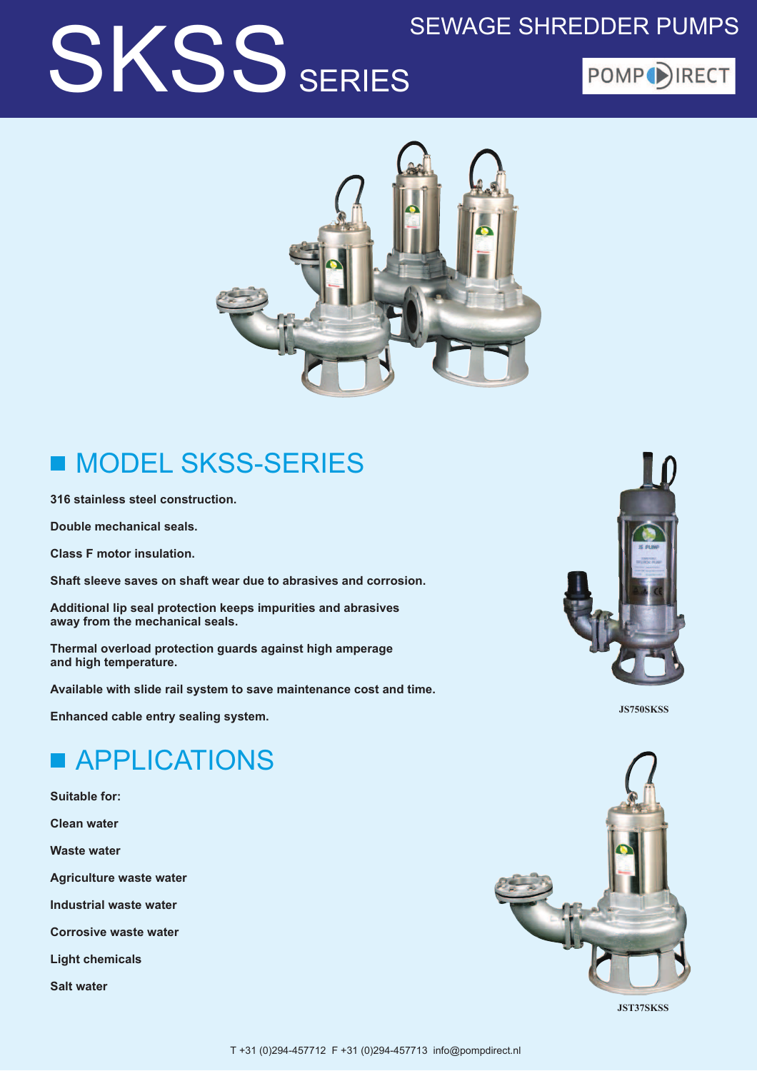## **SKSS SERIES**

### **SEWAGE SHREDDER PUMPS**





### **MODEL SKSS-SERIES The Second Service**

316 stainless steel construction.

Double mechanical seals.

**Class F motor insulation.** 

Shaft sleeve saves on shaft wear due to abrasives and corrosion.

Additional lip seal protection keeps impurities and abrasives away from the mechanical seals.

Thermal overload protection guards against high amperage and high temperature.

Available with slide rail system to save maintenance cost and time.

Enhanced cable entry sealing system.



**IS750SKSS** 

## **APPLICATIONS**

**Suitable for: Clean water Waste water Agriculture waste water** Industrial waste water **Corrosive waste water Light chemicals Salt water** 



**JST37SKSS**